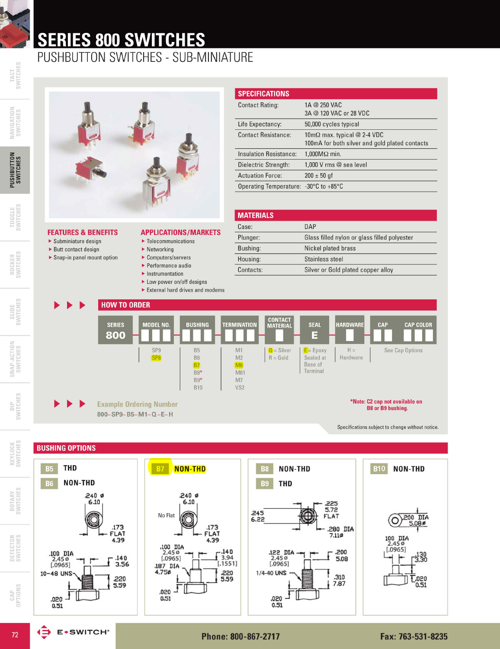# **SERIES 800 SWITCHES**

### PUSHBUTTON SWITCHES - SUB-MINIATURE



TACT<br>SWITCHES

**PUSHBUTTON**<br>SWITCHES

TOGGLE<br>SWITCHES

 $\blacktriangleright$  Subminiature design

 $\blacktriangleright$  Butt contact design

Snap-in panel mount option

ROCKER<br>SWITCHES

SWITCHES







DETECTOR<br>SWITCHES





| <b>FEATURES &amp; BENEFITS</b> | <b>APPLICATIONS/MARKETS</b> |
|--------------------------------|-----------------------------|

- $\blacktriangleright$  Telecommunications
- $\blacktriangleright$  Networking
- Computers/servers
- $\blacktriangleright$  Performance audio
- $\blacktriangleright$  Instrumentation
- Low power on/off designs
- External hard drives and modems

| <b>SPECIFICATIONS</b>                 |                                                                                              |
|---------------------------------------|----------------------------------------------------------------------------------------------|
| <b>Contact Rating:</b>                | 1A @ 250 VAC<br>3A @ 120 VAC or 28 VDC                                                       |
| Life Expectancy:                      | 50,000 cycles typical                                                                        |
| <b>Contact Resistance:</b>            | $10 \text{m}\Omega$ max. typical @ 2-4 VDC<br>100mA for both silver and gold plated contacts |
| Insulation Resistance:                | $1,000M\Omega$ min.                                                                          |
| Dielectric Strength:                  | 1,000 V rms @ sea level                                                                      |
| <b>Actuation Force:</b>               | $200 \pm 50$ gf                                                                              |
| Operating Temperature: -30°C to +85°C |                                                                                              |

| <b>MATERIALS</b> |                                              |
|------------------|----------------------------------------------|
| Case:            | DAP                                          |
| Plunger:         | Glass filled nylon or glass filled polyester |
| Bushing:         | Nickel plated brass                          |
| Housing:         | Stainless steel                              |
| Contacts:        | Silver or Gold plated copper alloy           |



**BUSHING OPTIONS THD NON-THD NON-THD B10 NON-THD B5**  $B7$ **B8** NON-THD **B6 B9 THD**  $.240$  Ø  $.240$  Ø  $6.10$ 6.10 .225<br>5.72<br>FLAT  $.245$ No Flat 200 DIA  $6.22$ O 173.<br>FLAT<br>4.39 .280 DIA<br>7.110 .173 FLAT 100 DIA<br>2.45 ø<br>[.0965] 4.39 .100 DIA<br>2.45 0<br>[.0965]  $\begin{bmatrix} .140 \\ 3.94 \\ .1551 \end{bmatrix}$ .122 DIA<br>2.45 ø<br>[.0965] .200<br>5.08 .100 DIA<br>2.45 ø<br>[.0965]  $-3.30$  $.140$ <br>3.56 187 DIA ,220<br>5.59 10-48 UNS 1/4-40 UNS .310 .220<br>5.59  $T_{0.51}^{0.20}$ 7.87 .020 ٹـ 200. .020 -<br>0.51 0.51  $0.51$ 

(∋

**E**\*SWITCH®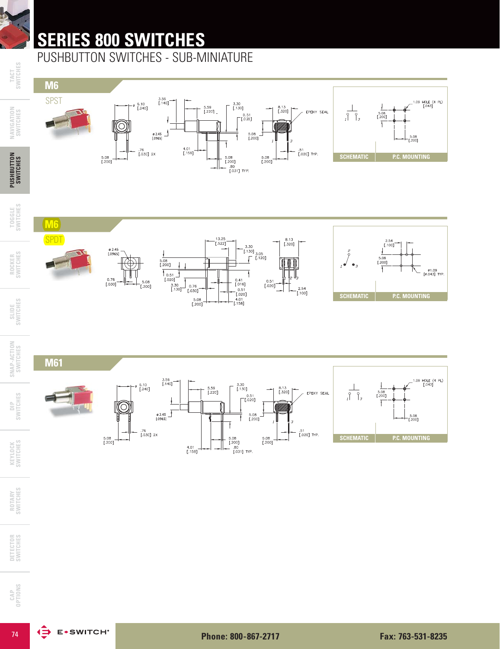## **SERIES 800 SWITCHES**

PUSHBUTTON SWITCHES - SUB-MINIATURE